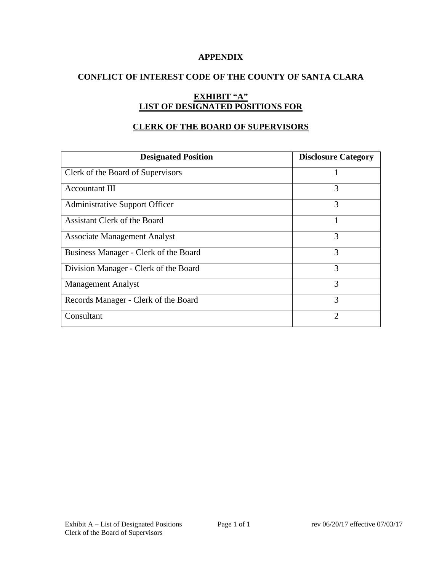### **APPENDIX**

# **CONFLICT OF INTEREST CODE OF THE COUNTY OF SANTA CLARA**

# **EXHIBIT "A" LIST OF DESIGNATED POSITIONS FOR**

# **CLERK OF THE BOARD OF SUPERVISORS**

| <b>Designated Position</b>            | <b>Disclosure Category</b> |
|---------------------------------------|----------------------------|
| Clerk of the Board of Supervisors     |                            |
| <b>Accountant III</b>                 | 3                          |
| <b>Administrative Support Officer</b> | 3                          |
| Assistant Clerk of the Board          |                            |
| <b>Associate Management Analyst</b>   | 3                          |
| Business Manager - Clerk of the Board | 3                          |
| Division Manager - Clerk of the Board | 3                          |
| <b>Management Analyst</b>             | 3                          |
| Records Manager - Clerk of the Board  | 3                          |
| Consultant                            | 2                          |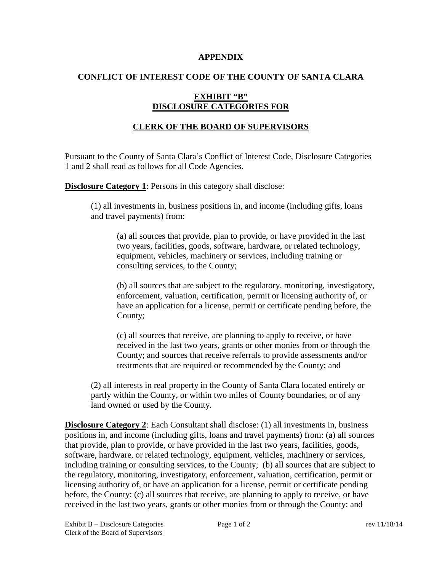#### **APPENDIX**

### **CONFLICT OF INTEREST CODE OF THE COUNTY OF SANTA CLARA**

# **EXHIBIT "B" DISCLOSURE CATEGORIES FOR**

# **CLERK OF THE BOARD OF SUPERVISORS**

Pursuant to the County of Santa Clara's Conflict of Interest Code, Disclosure Categories 1 and 2 shall read as follows for all Code Agencies.

**Disclosure Category 1:** Persons in this category shall disclose:

(1) all investments in, business positions in, and income (including gifts, loans and travel payments) from:

(a) all sources that provide, plan to provide, or have provided in the last two years, facilities, goods, software, hardware, or related technology, equipment, vehicles, machinery or services, including training or consulting services, to the County;

(b) all sources that are subject to the regulatory, monitoring, investigatory, enforcement, valuation, certification, permit or licensing authority of, or have an application for a license, permit or certificate pending before, the County;

(c) all sources that receive, are planning to apply to receive, or have received in the last two years, grants or other monies from or through the County; and sources that receive referrals to provide assessments and/or treatments that are required or recommended by the County; and

(2) all interests in real property in the County of Santa Clara located entirely or partly within the County, or within two miles of County boundaries, or of any land owned or used by the County.

**Disclosure Category 2:** Each Consultant shall disclose: (1) all investments in, business positions in, and income (including gifts, loans and travel payments) from: (a) all sources that provide, plan to provide, or have provided in the last two years, facilities, goods, software, hardware, or related technology, equipment, vehicles, machinery or services, including training or consulting services, to the County; (b) all sources that are subject to the regulatory, monitoring, investigatory, enforcement, valuation, certification, permit or licensing authority of, or have an application for a license, permit or certificate pending before, the County; (c) all sources that receive, are planning to apply to receive, or have received in the last two years, grants or other monies from or through the County; and